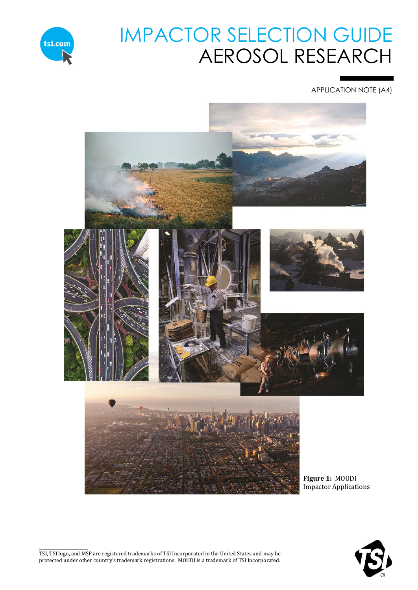

# IMPACTOR SELECTION GUIDE AEROSOL RESEARCH

APPLICATION NOTE (A4)



<span id="page-0-0"></span>\_\_\_\_\_\_\_\_\_\_\_\_\_\_\_\_\_\_\_\_\_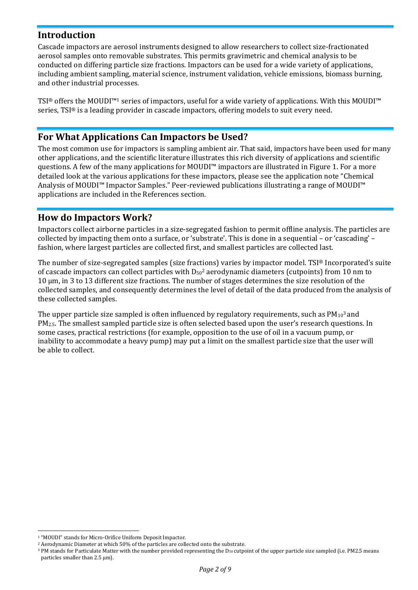# **Introduction**

Cascade impactors are aerosol instruments designed to allow researchers to collect size-fractionated aerosol samples onto removable substrates. This permits gravimetric and chemical analysis to be conducted on differing particle size fractions. Impactors can be used for a wide variety of applications, including ambient sampling, material science, instrument validation, vehicle emissions, biomass burning, and other industrial processes.

TSI® offers the MOUDI™<sup>1</sup> series of impactors, useful for a wide variety of applications. With this MOUDI™ series, TSI® is a leading provider in cascade impactors, offering models to suit every need.

# **For What Applications Can Impactors be Used?**

The most common use for impactors is sampling ambient air. That said, impactors have been used for many other applications, and the scientific literature illustrates this rich diversity of applications and scientific questions. A few of the many applications for MOUDI™ impactors are illustrated in [Figure 1.](#page-0-0) For a more detailed look at the various applications for these impactors, please see the application note "Chemical Analysis of MOUDI™ Impactor Samples." Peer-reviewed publications illustrating a range of MOUDI™ applications are included in the References section.

# **How do Impactors Work?**

Impactors collect airborne particles in a size-segregated fashion to permit offline analysis. The particles are collected by impacting them onto a surface, or 'substrate'. This is done in a sequential – or 'cascading' – fashion, where largest particles are collected first, and smallest particles are collected last.

The number of size-segregated samples (size fractions) varies by impactor model. TSI® Incorporated's suite of cascade impactors can collect particles with  $D_{50}^2$  aerodynamic diameters (cutpoints) from 10 nm to 10 μm, in 3 to 13 different size fractions. The number of stages determines the size resolution of the collected samples, and consequently determines the level of detail of the data produced from the analysis of these collected samples.

The upper particle size sampled is often influenced by regulatory requirements, such as  $PM_{10}^3$  and PM<sub>2.5</sub>. The smallest sampled particle size is often selected based upon the user's research questions. In some cases, practical restrictions (for example, opposition to the use of oil in a vacuum pump, or inability to accommodate a heavy pump) may put a limit on the smallest particle size that the user will be able to collect.

-

<sup>&</sup>lt;sup>1</sup> "MOUDI" stands for Micro-Orifice Uniform Deposit Impactor.

<sup>2</sup> Aerodynamic Diameter at which 50% of the particles are collected onto the substrate.

<sup>&</sup>lt;sup>3</sup> PM stands for Particulate Matter with the number provided representing the D<sub>50</sub> cutpoint of the upper particle size sampled (i.e. PM2.5 means particles smaller than 2.5 μm).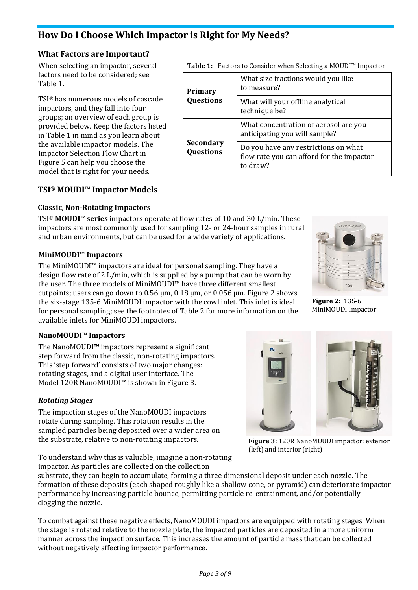# **How Do I Choose Which Impactor is Right for My Needs?**

#### **What Factors are Important?**

When selecting an impactor, several factors need to be considered; see [Table 1.](#page-2-0)

TSI® has numerous models of cascade impactors, and they fall into four groups; an overview of each group is provided below. Keep the factors listed in [Table 1](#page-2-0) in mind as you learn about the available impactor models. The Impactor Selection Flow Chart in [Figure 5](#page-5-0) can help you choose the model that is right for your needs.

#### **TSI**® **MOUDI**™ **Impactor Models**

#### **Classic, Non-Rotating Impactors**

TSI® **MOUDI**™**series** impactors operate at flow rates of 10 and 30 L/min. These impactors are most commonly used for sampling 12- or 24-hour samples in rural and urban environments, but can be used for a wide variety of applications.

#### **MiniMOUDI**™ **Impactors**

The MiniMOUDI**™** impactors are ideal for personal sampling. They have a design flow rate of 2 L/min, which is supplied by a pump that can be worn by the user. The three models of MiniMOUDI**™** have three different smallest cutpoints; users can go down to  $0.56 \mu m$ ,  $0.18 \mu m$ , or  $0.056 \mu m$ . [Figure 2](#page-2-1) shows the six-stage 135-6 MiniMOUDI impactor with the cowl inlet. This inlet is ideal for personal sampling; see the footnotes of [Table 2](#page-4-0) for more information on the available inlets for MiniMOUDI impactors.

#### **NanoMOUDI**™ **Impactors**

The NanoMOUDI**™** impactors represent a significant step forward from the classic, non-rotating impactors. This 'step forward' consists of two major changes: rotating stages, and a digital user interface. The Model 120R NanoMOUDI**™** is shown in [Figure 3.](#page-2-2)

#### *Rotating Stages*

The impaction stages of the NanoMOUDI impactors rotate during sampling. This rotation results in the sampled particles being deposited over a wider area on the substrate, relative to non-rotating impactors.

To understand why this is valuable, imagine a non-rotating impactor. As particles are collected on the collection

substrate, they can begin to accumulate, forming a three dimensional deposit under each nozzle. The formation of these deposits (each shaped roughly like a shallow cone, or pyramid) can deteriorate impactor performance by increasing particle bounce, permitting particle re-entrainment, and/or potentially clogging the nozzle.

To combat against these negative effects, NanoMOUDI impactors are equipped with rotating stages. When the stage is rotated relative to the nozzle plate, the impacted particles are deposited in a more uniform manner across the impaction surface. This increases the amount of particle mass that can be collected without negatively affecting impactor performance.

<span id="page-2-0"></span>

| Primary                              | What size fractions would you like<br>to measure?                                             |
|--------------------------------------|-----------------------------------------------------------------------------------------------|
| <b>Questions</b>                     | What will your offline analytical<br>technique be?                                            |
|                                      | What concentration of aerosol are you<br>anticipating you will sample?                        |
| <b>Secondary</b><br><b>Questions</b> | Do you have any restrictions on what<br>flow rate you can afford for the impactor<br>to draw? |

<span id="page-2-1"></span>**Figure 2:** 135-6 MiniMOUDI Impactor

<span id="page-2-2"></span>**Figure 3:** 120R NanoMOUDI impactor: exterior (left) and interior (right)

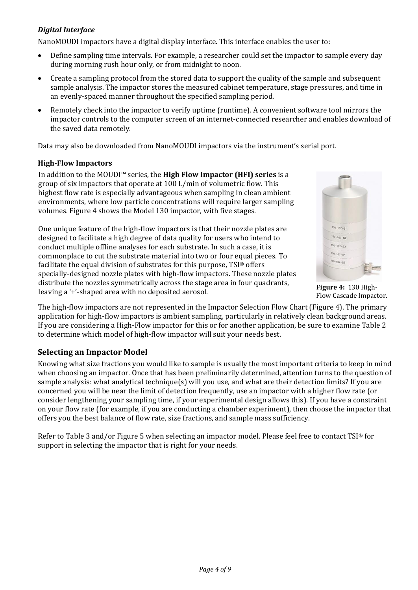#### *Digital Interface*

NanoMOUDI impactors have a digital display interface. This interface enables the user to:

- Define sampling time intervals. For example, a researcher could set the impactor to sample every day during morning rush hour only, or from midnight to noon.
- Create a sampling protocol from the stored data to support the quality of the sample and subsequent sample analysis. The impactor stores the measured cabinet temperature, stage pressures, and time in an evenly-spaced manner throughout the specified sampling period.
- Remotely check into the impactor to verify uptime (runtime). A convenient software tool mirrors the impactor controls to the computer screen of an internet-connected researcher and enables download of the saved data remotely.

Data may also be downloaded from NanoMOUDI impactors via the instrument's serial port.

#### **High-Flow Impactors**

In addition to the MOUDI™ series, the **High Flow Impactor (HFI) series** is a group of six impactors that operate at 100 L/min of volumetric flow. This highest flow rate is especially advantageous when sampling in clean ambient environments, where low particle concentrations will require larger sampling volumes. [Figure 4](#page-3-0) shows the Model 130 impactor, with five stages.

One unique feature of the high-flow impactors is that their nozzle plates are designed to facilitate a high degree of data quality for users who intend to conduct multiple offline analyses for each substrate. In such a case, it is commonplace to cut the substrate material into two or four equal pieces. To facilitate the equal division of substrates for this purpose, TSI® offers specially-designed nozzle plates with high-flow impactors. These nozzle plates distribute the nozzles symmetrically across the stage area in four quadrants, distribute the hozzles symmetrically across the stage area in four quadrants, **Figure 4:** 130 High-<br>leaving a '+'-shaped area with no deposited aerosol.

<span id="page-3-0"></span>

Flow Cascade Impactor.

The high-flow impactors are not represented in the Impactor Selection Flow Chart [\(Figure 4\)](#page-3-0). The primary application for high-flow impactors is ambient sampling, particularly in relatively clean background areas. If you are considering a High-Flow impactor for this or for another application, be sure to examine [Table 2](#page-4-0) to determine which model of high-flow impactor will suit your needs best.

#### **Selecting an Impactor Model**

Knowing what size fractions you would like to sample is usually the most important criteria to keep in mind when choosing an impactor. Once that has been preliminarily determined, attention turns to the question of sample analysis: what analytical technique(s) will you use, and what are their detection limits? If you are concerned you will be near the limit of detection frequently, use an impactor with a higher flow rate (or consider lengthening your sampling time, if your experimental design allows this). If you have a constraint on your flow rate (for example, if you are conducting a chamber experiment), then choose the impactor that offers you the best balance of flow rate, size fractions, and sample mass sufficiency.

Refer to [Table 3](#page-6-0) and/or [Figure 5](#page-5-0) when selecting an impactor model. Please feel free to contact TSI® for support in selecting the impactor that is right for your needs.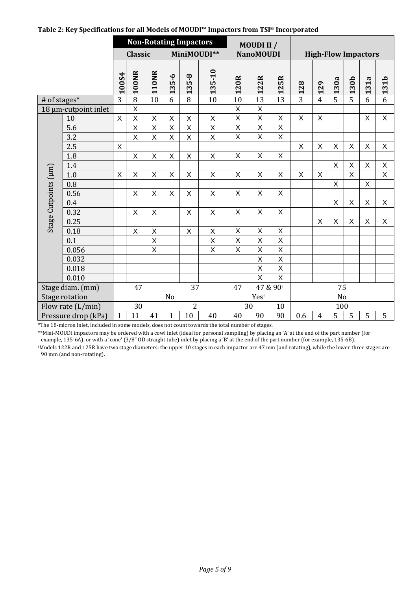|                      |                      | <b>Non-Rotating Impactors</b> |                |                 |                         |                | MOUDI II /                 |                         |                         |                         |                                 |                            |                |                |                                 |                |
|----------------------|----------------------|-------------------------------|----------------|-----------------|-------------------------|----------------|----------------------------|-------------------------|-------------------------|-------------------------|---------------------------------|----------------------------|----------------|----------------|---------------------------------|----------------|
|                      |                      |                               | <b>Classic</b> |                 |                         |                | MiniMOUDI**                |                         | <b>NanoMOUDI</b>        |                         |                                 | <b>High-Flow Impactors</b> |                |                |                                 |                |
|                      |                      | 100S4                         | <b>100NR</b>   | 110NR           | 135-6                   | $5 - 8$<br>13  | $5 - 10$<br>13             | 120R                    | 122R                    | 5R<br>12                | 128                             | 129                        | 130a           | 130b           | 31a<br>$\overline{\phantom{0}}$ | 131b           |
| # of stages*         |                      | $\overline{3}$                | $\overline{8}$ | $\overline{10}$ | 6                       | 8              | 10                         | $\overline{10}$         | 13                      | 13                      | 3                               | $\overline{4}$             | 5              | $\overline{5}$ | 6                               | 6              |
|                      | 18 µm-cutpoint inlet |                               | $\sf X$        |                 |                         |                |                            | $\sf X$                 | $\mathsf X$             |                         |                                 |                            |                |                |                                 |                |
|                      | 10                   | $\sf X$                       | $\mathsf{X}$   | $\sf X$         | $\sf X$                 | X              | $\sf X$                    | $\overline{X}$          | $\overline{\mathsf{x}}$ | X                       | $\overline{X}$                  | X                          |                |                | X                               | $\overline{X}$ |
|                      | 5.6                  |                               | X              | X               | $\sf X$                 | X              | $\sf X$                    | X                       | Χ                       | X                       |                                 |                            |                |                |                                 |                |
|                      | 3.2                  |                               | X              | X               | $\overline{\mathsf{X}}$ | X              | $\sf X$                    | $\overline{\mathsf{x}}$ | $\overline{X}$          | $\overline{X}$          |                                 |                            |                |                |                                 |                |
|                      | 2.5                  | Χ                             |                |                 |                         |                |                            |                         |                         |                         | $\times$                        | $\sf X$                    | $\mathsf X$    | $\mathsf X$    | X                               | $\sf X$        |
|                      | 1.8                  |                               | $\sf X$        | X               | $\sf X$                 | $\mathsf X$    | $\sf X$                    | $\mathsf X$             | $\sf X$                 | X                       |                                 |                            |                |                |                                 |                |
|                      | 1.4                  |                               |                |                 |                         |                |                            |                         |                         |                         |                                 |                            | X              | $\times$       | X                               | X              |
|                      | 1.0                  | $\sf X$                       | $\sf X$        | $\sf X$         | $\sf X$                 | $\mathsf X$    | $\sf X$                    | $\pmb{\times}$          | $\pmb{\times}$          | X                       | X                               | X                          |                | $\mathsf{X}$   |                                 | X              |
|                      | 0.8                  |                               |                |                 |                         |                |                            |                         |                         |                         |                                 |                            | $\mathsf{X}$   |                | $\mathsf{X}$                    |                |
|                      | 0.56                 |                               | X              | X               | X                       | X              | X                          | X                       | X                       | X                       |                                 |                            |                |                |                                 |                |
|                      | 0.4                  |                               |                |                 |                         |                |                            |                         |                         |                         |                                 |                            | $\mathsf X$    | $\sf X$        | X                               | $\sf X$        |
|                      | 0.32                 |                               | X              | $\mathsf X$     |                         | X              | X                          | $\pmb{\times}$          | X                       | X                       |                                 |                            |                |                |                                 |                |
| Stage Cutpoints (µm) | 0.25                 |                               |                |                 |                         |                |                            |                         |                         |                         |                                 | $\overline{\mathsf{x}}$    | $\overline{X}$ | $\overline{X}$ | $\sf X$                         | $\overline{X}$ |
|                      | 0.18                 |                               | $\mathsf X$    | X               |                         | X              | $\boldsymbol{\mathsf{X}}$  | $\mathsf X$             | $\sf X$                 | X                       |                                 |                            |                |                |                                 |                |
|                      | 0.1                  |                               |                | $\sf X$         |                         |                | $\sf X$                    | X                       | $\overline{X}$          | $\overline{X}$          |                                 |                            |                |                |                                 |                |
|                      | 0.056                |                               |                | X               |                         |                | $\mathsf X$                | Χ                       | $\sf X$                 | X                       |                                 |                            |                |                |                                 |                |
|                      | 0.032                |                               |                |                 |                         |                |                            |                         | $\overline{X}$          | $\overline{X}$          |                                 |                            |                |                |                                 |                |
|                      | 0.018                |                               |                |                 |                         |                |                            |                         | $\overline{\mathsf{x}}$ | $\overline{\mathsf{x}}$ |                                 |                            |                |                |                                 |                |
|                      | 0.010                |                               |                |                 |                         |                |                            |                         | $\overline{X}$          | $\overline{\mathsf{x}}$ |                                 |                            |                |                |                                 |                |
| Stage diam. (mm)     |                      |                               | 37<br>47       |                 |                         | 47             | 47 & 90 <sup>+</sup><br>75 |                         |                         |                         |                                 |                            |                |                |                                 |                |
| Stage rotation       |                      |                               |                |                 | No                      |                |                            |                         | Yes <sup>+</sup>        |                         |                                 |                            | N <sub>o</sub> |                |                                 |                |
| Flow rate (L/min)    |                      |                               | 30             |                 |                         | $\overline{2}$ |                            | 30                      |                         | 10                      |                                 |                            | 100            |                |                                 |                |
|                      | Pressure drop (kPa)  | $\mathbf{1}$                  | 11             | 41              | $\mathbf{1}$            | 10             | 40                         | 40                      | 90                      | 90                      | 5<br>5<br>0.6<br>$\overline{4}$ |                            | 5              | 5              |                                 |                |

#### <span id="page-4-0"></span>**Table 2: Key Specifications for all Models of MOUDI**™ **Impactors from TSI**® **Incorporated**

\*The 18-micron inlet, included in some models, does not count towards the total number of stages.

\*\*Mini-MOUDI impactors may be ordered with a cowl inlet (ideal for personal sampling) by placing an 'A' at the end of the part number (for example, 135-6A), or with a 'cone' (3/8" OD straight tube) inlet by placing a 'B' at the end of the part number (for example, 135-6B).

<sup>ǂ</sup>Models 122R and 125R have two stage diameters: the upper 10 stages in each impactor are 47 mm (and rotating), while the lower three stages are 90 mm (and non-rotating).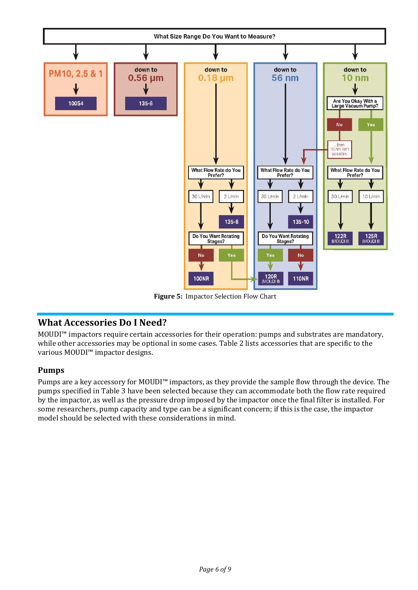

**Figure 5:** Impactor Selection Flow Chart

# <span id="page-5-0"></span>**What Accessories Do I Need?**

MOUDI™ impactors require certain accessories for their operation: pumps and substrates are mandatory, while other accessories may be optional in some cases. Table 2 lists accessories that are specific to the various MOUDI™ impactor designs.

# **Pumps**

Pumps are a key accessory for MOUDI™ impactors, as they provide the sample flow through the device. The pumps specified in Table 3 have been selected because they can accommodate both the flow rate required by the impactor, as well as the pressure drop imposed by the impactor once the final filter is installed. For some researchers, pump capacity and type can be a significant concern; if this is the case, the impactor model should be selected with these considerations in mind.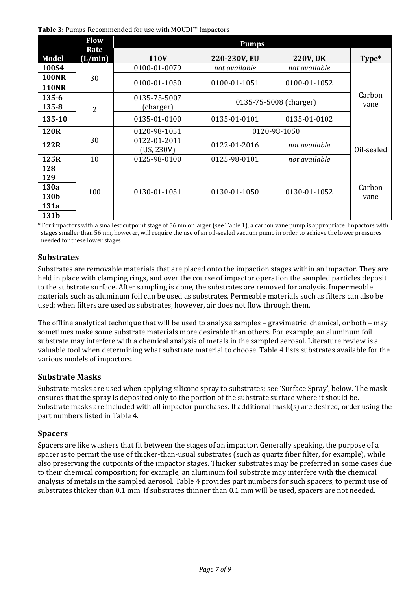<span id="page-6-0"></span>**Table 3:** Pumps Recommended for use with MOUDI™ Impactors

|              | <b>Flow</b>     | <b>Pumps</b>               |               |                        |            |  |  |  |
|--------------|-----------------|----------------------------|---------------|------------------------|------------|--|--|--|
| Model        | Rate<br>(L/min) | <b>110V</b>                | 220-230V, EU  | <b>220V, UK</b>        | Type*      |  |  |  |
| 100S4        |                 | 0100-01-0079               | not available | not available          |            |  |  |  |
| <b>100NR</b> | 30              |                            |               |                        |            |  |  |  |
| <b>110NR</b> |                 | 0100-01-1050               | 0100-01-1051  | 0100-01-1052           |            |  |  |  |
| $135 - 6$    |                 | 0135-75-5007               |               | 0135-75-5008 (charger) | Carbon     |  |  |  |
| $135 - 8$    | 2               | (charger)                  |               | vane                   |            |  |  |  |
| 135-10       |                 | 0135-01-0100               | 0135-01-0101  | 0135-01-0102           |            |  |  |  |
| <b>120R</b>  |                 | 0120-98-1051               |               | 0120-98-1050           |            |  |  |  |
| 122R         | 30              | 0122-01-2011<br>(US, 230V) | 0122-01-2016  | not available          | Oil-sealed |  |  |  |
| 125R         | 10              | 0125-98-0100               | 0125-98-0101  | not available          |            |  |  |  |
| 128          |                 |                            |               |                        |            |  |  |  |
| 129          |                 |                            |               |                        |            |  |  |  |
| 130a         | 100             | 0130-01-1051               | 0130-01-1050  | 0130-01-1052           | Carbon     |  |  |  |
| 130b         |                 |                            |               |                        | vane       |  |  |  |
| 131a         |                 |                            |               |                        |            |  |  |  |
| 131b         |                 |                            |               |                        |            |  |  |  |

\* For impactors with a smallest cutpoint stage of 56 nm or larger (see Table 1), a carbon vane pump is appropriate. Impactors with stages smaller than 56 nm, however, will require the use of an oil-sealed vacuum pump in order to achieve the lower pressures needed for these lower stages.

#### **Substrates**

Substrates are removable materials that are placed onto the impaction stages within an impactor. They are held in place with clamping rings, and over the course of impactor operation the sampled particles deposit to the substrate surface. After sampling is done, the substrates are removed for analysis. Impermeable materials such as aluminum foil can be used as substrates. Permeable materials such as filters can also be used; when filters are used as substrates, however, air does not flow through them.

The offline analytical technique that will be used to analyze samples – gravimetric, chemical, or both – may sometimes make some substrate materials more desirable than others. For example, an aluminum foil substrate may interfere with a chemical analysis of metals in the sampled aerosol. Literature review is a valuable tool when determining what substrate material to choose. [Table 4](#page-7-0) lists substrates available for the various models of impactors.

#### **Substrate Masks**

Substrate masks are used when applying silicone spray to substrates; see 'Surface Spray', below. The mask ensures that the spray is deposited only to the portion of the substrate surface where it should be. Substrate masks are included with all impactor purchases. If additional mask(s) are desired, order using the part numbers listed i[n Table 4](#page-7-0).

# **Spacers**

Spacers are like washers that fit between the stages of an impactor. Generally speaking, the purpose of a spacer is to permit the use of thicker-than-usual substrates (such as quartz fiber filter, for example), while also preserving the cutpoints of the impactor stages. Thicker substrates may be preferred in some cases due to their chemical composition; for example, an aluminum foil substrate may interfere with the chemical analysis of metals in the sampled aerosol. [Table 4](#page-7-0) provides part numbers for such spacers, to permit use of substrates thicker than 0.1 mm. If substrates thinner than 0.1 mm will be used, spacers are not needed.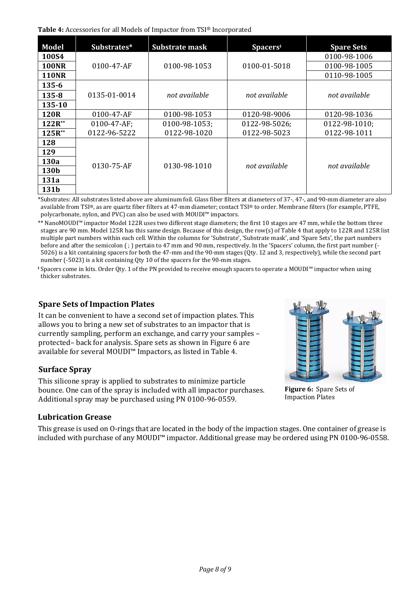<span id="page-7-0"></span>**Table 4:** Accessories for all Models of Impactor from TSI® Incorporated

| <b>Model</b> | Substrates*        | Substrate mask | Spacers <sup>+</sup> | <b>Spare Sets</b> |  |  |  |
|--------------|--------------------|----------------|----------------------|-------------------|--|--|--|
| 100S4        |                    |                |                      | 0100-98-1006      |  |  |  |
| <b>100NR</b> | $0100 - 47 - AF$   | 0100-98-1053   | 0100-01-5018         | 0100-98-1005      |  |  |  |
| <b>110NR</b> |                    |                |                      | 0110-98-1005      |  |  |  |
| 135-6        |                    |                |                      |                   |  |  |  |
| $135 - 8$    | 0135-01-0014       | not available  | not available        | not available     |  |  |  |
| 135-10       |                    |                |                      |                   |  |  |  |
| <b>120R</b>  | 0100-47-AF         | 0100-98-1053   | 0120-98-9006         | 0120-98-1036      |  |  |  |
| $122R^{**}$  | $0100 - 47 - AF$ ; | 0100-98-1053;  | 0122-98-5026;        | 0122-98-1010;     |  |  |  |
| $125R^{**}$  | 0122-96-5222       | 0122-98-1020   | 0122-98-5023         | 0122-98-1011      |  |  |  |
| 128          |                    |                |                      |                   |  |  |  |
| 129          |                    |                |                      |                   |  |  |  |
| 130a         | 0130-75-AF         | 0130-98-1010   | not available        | not available     |  |  |  |
| 130b         |                    |                |                      |                   |  |  |  |
| 131a         |                    |                |                      |                   |  |  |  |
| 131b         |                    |                |                      |                   |  |  |  |

\*Substrates: All substrates listed above are aluminum foil. Glass fiber filters at diameters of 37-, 47-, and 90-mm diameter are also available from TSI®, as are quartz fiber filters at 47-mm diameter; contact TSI® to order. Membrane filters (for example, PTFE, polycarbonate, nylon, and PVC) can also be used with MOUDI™ impactors.

\*\* NanoMOUDI™ impactor Model 122R uses two different stage diameters; the first 10 stages are 47 mm, while the bottom three stages are 90 mm. Model 125R has this same design. Because of this design, the row(s) o[f Table 4](#page-7-0) that apply to 122R and 125R list multiple part numbers within each cell. Within the columns for 'Substrate', 'Substrate mask', and 'Spare Sets', the part numbers before and after the semicolon ( ; ) pertain to 47 mm and 90 mm, respectively. In the 'Spacers' column, the first part number (- 5026) is a kit containing spacers for both the 47-mm and the 90-mm stages (Qty. 12 and 3, respectively), while the second part number (-5023) is a kit containing Qty 10 of the spacers for the 90-mm stages.

**<sup>ǂ</sup>** Spacers come in kits. Order Qty. 1 of the PN provided to receive enough spacers to operate a MOUDI™ impactor when using thicker substrates.

#### **Spare Sets of Impaction Plates**

It can be convenient to have a second set of impaction plates. This allows you to bring a new set of substrates to an impactor that is currently sampling, perform an exchange, and carry your samples – protected– back for analysis. Spare sets as shown i[n Figure 6](#page-7-1) are available for several MOUDI™ Impactors, as listed in [Table 4.](#page-7-0)

#### **Surface Spray**

This silicone spray is applied to substrates to minimize particle bounce. One can of the spray is included with all impactor purchases. Additional spray may be purchased using PN 0100-96-0559.

# **Lubrication Grease**

This grease is used on O-rings that are located in the body of the impaction stages. One container of grease is included with purchase of any MOUDI™ impactor. Additional grease may be ordered using PN 0100-96-0558.

<span id="page-7-1"></span>

**Figure 6:** Spare Sets of Impaction Plates